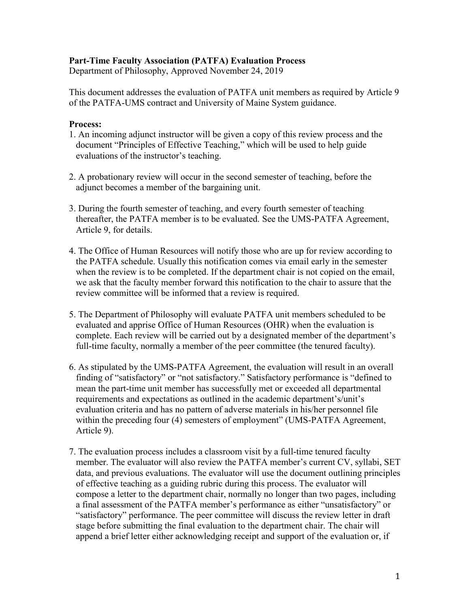### **Part-Time Faculty Association (PATFA) Evaluation Process**

Department of Philosophy, Approved November 24, 2019

This document addresses the evaluation of PATFA unit members as required by Article 9 of the PATFA-UMS contract and University of Maine System guidance.

#### **Process:**

- 1. An incoming adjunct instructor will be given a copy of this review process and the document "Principles of Effective Teaching," which will be used to help guide evaluations of the instructor's teaching.
- 2. A probationary review will occur in the second semester of teaching, before the adjunct becomes a member of the bargaining unit.
- 3. During the fourth semester of teaching, and every fourth semester of teaching thereafter, the PATFA member is to be evaluated. See the UMS-PATFA Agreement, Article 9, for details.
- 4. The Office of Human Resources will notify those who are up for review according to the PATFA schedule. Usually this notification comes via email early in the semester when the review is to be completed. If the department chair is not copied on the email, we ask that the faculty member forward this notification to the chair to assure that the review committee will be informed that a review is required.
- 5. The Department of Philosophy will evaluate PATFA unit members scheduled to be evaluated and apprise Office of Human Resources (OHR) when the evaluation is complete. Each review will be carried out by a designated member of the department's full-time faculty, normally a member of the peer committee (the tenured faculty).
- 6. As stipulated by the UMS-PATFA Agreement, the evaluation will result in an overall finding of "satisfactory" or "not satisfactory." Satisfactory performance is "defined to mean the part-time unit member has successfully met or exceeded all departmental requirements and expectations as outlined in the academic department's/unit's evaluation criteria and has no pattern of adverse materials in his/her personnel file within the preceding four (4) semesters of employment" (UMS-PATFA Agreement, Article 9).
- 7. The evaluation process includes a classroom visit by a full-time tenured faculty member. The evaluator will also review the PATFA member's current CV, syllabi, SET data, and previous evaluations. The evaluator will use the document outlining principles of effective teaching as a guiding rubric during this process. The evaluator will compose a letter to the department chair, normally no longer than two pages, including a final assessment of the PATFA member's performance as either "unsatisfactory" or "satisfactory" performance. The peer committee will discuss the review letter in draft stage before submitting the final evaluation to the department chair. The chair will append a brief letter either acknowledging receipt and support of the evaluation or, if